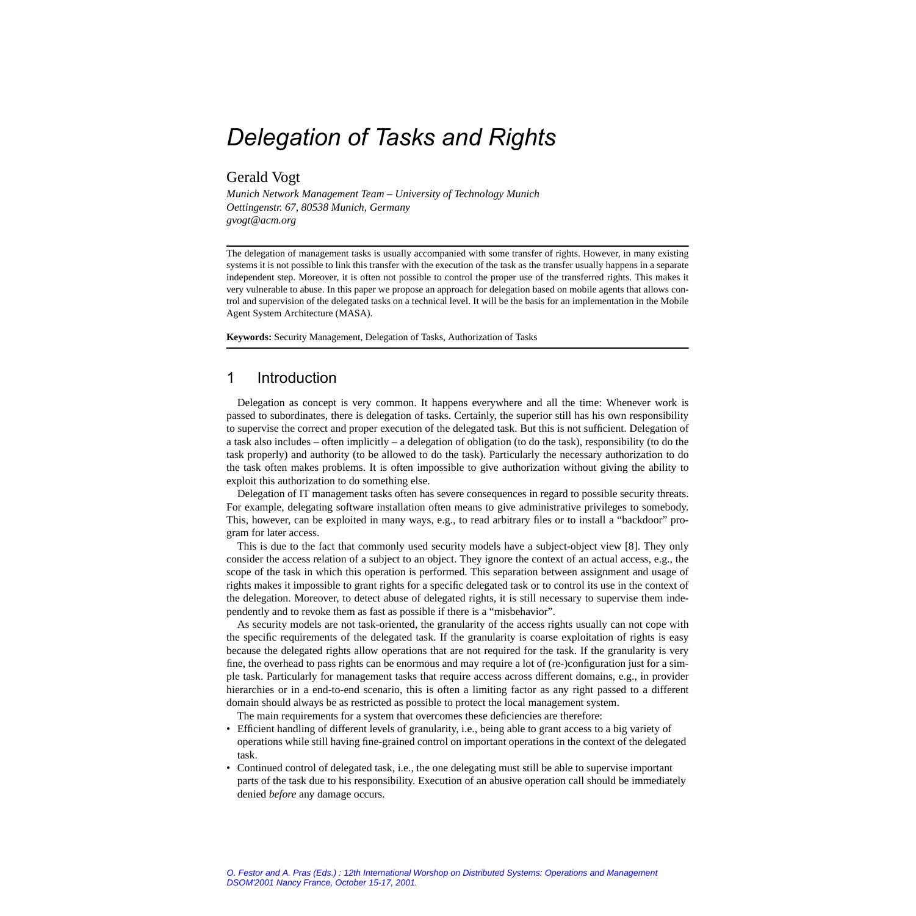# *Delegation of Tasks and Rights*

## Gerald Vogt

*Munich Network Management Team – University of Technology Munich Oettingenstr. 67, 80538 Munich, Germany gvogt@acm.org*

The delegation of management tasks is usually accompanied with some transfer of rights. However, in many existing systems it is not possible to link this transfer with the execution of the task as the transfer usually happens in a separate independent step. Moreover, it is often not possible to control the proper use of the transferred rights. This makes it very vulnerable to abuse. In this paper we propose an approach for delegation based on mobile agents that allows control and supervision of the delegated tasks on a technical level. It will be the basis for an implementation in the Mobile Agent System Architecture (MASA).

**Keywords:** Security Management, Delegation of Tasks, Authorization of Tasks

# 1 Introduction

Delegation as concept is very common. It happens everywhere and all the time: Whenever work is passed to subordinates, there is delegation of tasks. Certainly, the superior still has his own responsibility to supervise the correct and proper execution of the delegated task. But this is not sufficient. Delegation of a task also includes – often implicitly – a delegation of obligation (to do the task), responsibility (to do the task properly) and authority (to be allowed to do the task). Particularly the necessary authorization to do the task often makes problems. It is often impossible to give authorization without giving the ability to exploit this authorization to do something else.

Delegation of IT management tasks often has severe consequences in regard to possible security threats. For example, delegating software installation often means to give administrative privileges to somebody. This, however, can be exploited in many ways, e.g., to read arbitrary files or to install a "backdoor" program for later access.

This is due to the fact that commonly used security models have a subject-object view [\[8\]](#page-9-0). They only consider the access relation of a subject to an object. They ignore the context of an actual access, e.g., the scope of the task in which this operation is performed. This separation between assignment and usage of rights makes it impossible to grant rights for a specific delegated task or to control its use in the context of the delegation. Moreover, to detect abuse of delegated rights, it is still necessary to supervise them independently and to revoke them as fast as possible if there is a "misbehavior".

As security models are not task-oriented, the granularity of the access rights usually can not cope with the specific requirements of the delegated task. If the granularity is coarse exploitation of rights is easy because the delegated rights allow operations that are not required for the task. If the granularity is very fine, the overhead to pass rights can be enormous and may require a lot of (re-)configuration just for a simple task. Particularly for management tasks that require access across different domains, e.g., in provider hierarchies or in a end-to-end scenario, this is often a limiting factor as any right passed to a different domain should always be as restricted as possible to protect the local management system.

The main requirements for a system that overcomes these deficiencies are therefore:

- Efficient handling of different levels of granularity, i.e., being able to grant access to a big variety of operations while still having fine-grained control on important operations in the context of the delegated task.
- Continued control of delegated task, i.e., the one delegating must still be able to supervise important parts of the task due to his responsibility. Execution of an abusive operation call should be immediately denied *before* any damage occurs.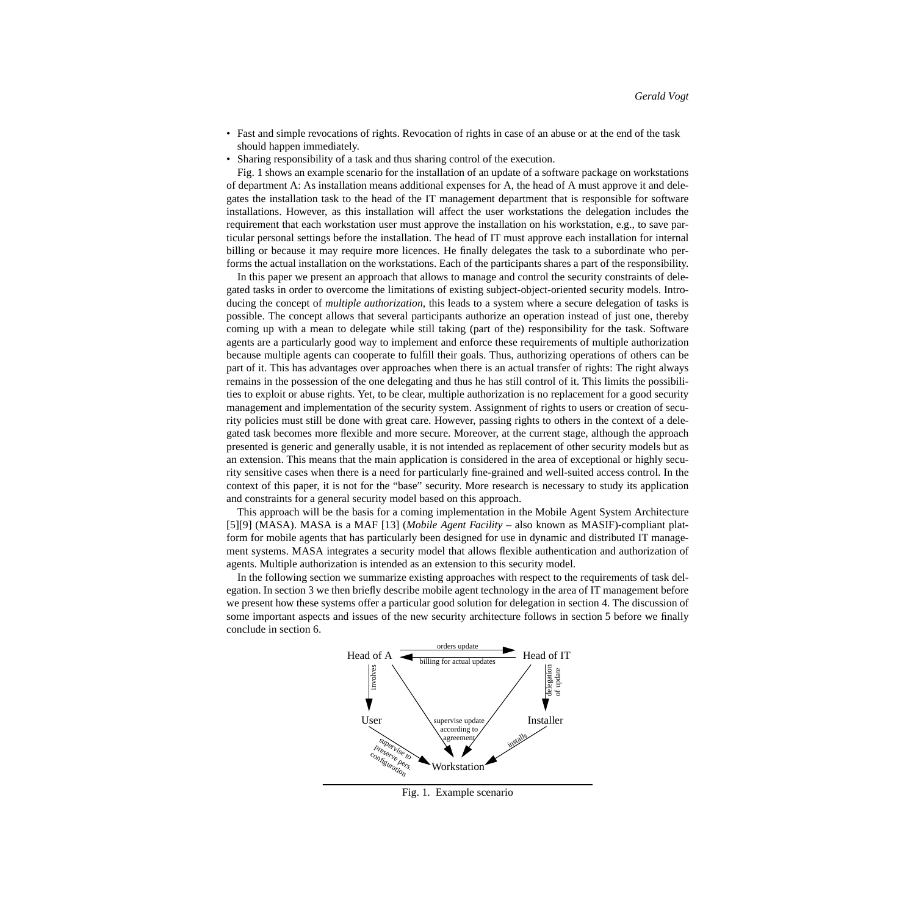- Fast and simple revocations of rights. Revocation of rights in case of an abuse or at the end of the task should happen immediately.
- Sharing responsibility of a task and thus sharing control of the execution.

[Fig. 1](#page-1-0) shows an example scenario for the installation of an update of a software package on workstations of department A: As installation means additional expenses for A, the head of A must approve it and delegates the installation task to the head of the IT management department that is responsible for software installations. However, as this installation will affect the user workstations the delegation includes the requirement that each workstation user must approve the installation on his workstation, e.g., to save particular personal settings before the installation. The head of IT must approve each installation for internal billing or because it may require more licences. He finally delegates the task to a subordinate who performs the actual installation on the workstations. Each of the participants shares a part of the responsibility.

In this paper we present an approach that allows to manage and control the security constraints of delegated tasks in order to overcome the limitations of existing subject-object-oriented security models. Introducing the concept of *multiple authorization*, this leads to a system where a secure delegation of tasks is possible. The concept allows that several participants authorize an operation instead of just one, thereby coming up with a mean to delegate while still taking (part of the) responsibility for the task. Software agents are a particularly good way to implement and enforce these requirements of multiple authorization because multiple agents can cooperate to fulfill their goals. Thus, authorizing operations of others can be part of it. This has advantages over approaches when there is an actual transfer of rights: The right always remains in the possession of the one delegating and thus he has still control of it. This limits the possibilities to exploit or abuse rights. Yet, to be clear, multiple authorization is no replacement for a good security management and implementation of the security system. Assignment of rights to users or creation of security policies must still be done with great care. However, passing rights to others in the context of a delegated task becomes more flexible and more secure. Moreover, at the current stage, although the approach presented is generic and generally usable, it is not intended as replacement of other security models but as an extension. This means that the main application is considered in the area of exceptional or highly security sensitive cases when there is a need for particularly fine-grained and well-suited access control. In the context of this paper, it is not for the "base" security. More research is necessary to study its application and constraints for a general security model based on this approach.

This approach will be the basis for a coming implementation in the Mobile Agent System Architecture [\[5\]](#page-9-1)[9] (MASA). MASA is a MAF [\[13\]](#page-10-0) (*Mobile Agent Facility* – also known as MASIF)-compliant platform for mobile agents that has particularly been designed for use in dynamic and distributed IT management systems. MASA integrates a security model that allows flexible authentication and authorization of agents. Multiple authorization is intended as an extension to this security model.

In the following section we summarize existing approaches with respect to the requirements of task delegation. In section [3](#page-2-0) we then briefly describe mobile agent technology in the area of IT management before we present how these systems offer a particular good solution for delegation in section [4.](#page-3-0) The discussion of some important aspects and issues of the new security architecture follows in section [5](#page-6-0) before we finally conclude in section [6](#page-8-0).



<span id="page-1-0"></span>Fig. 1. Example scenario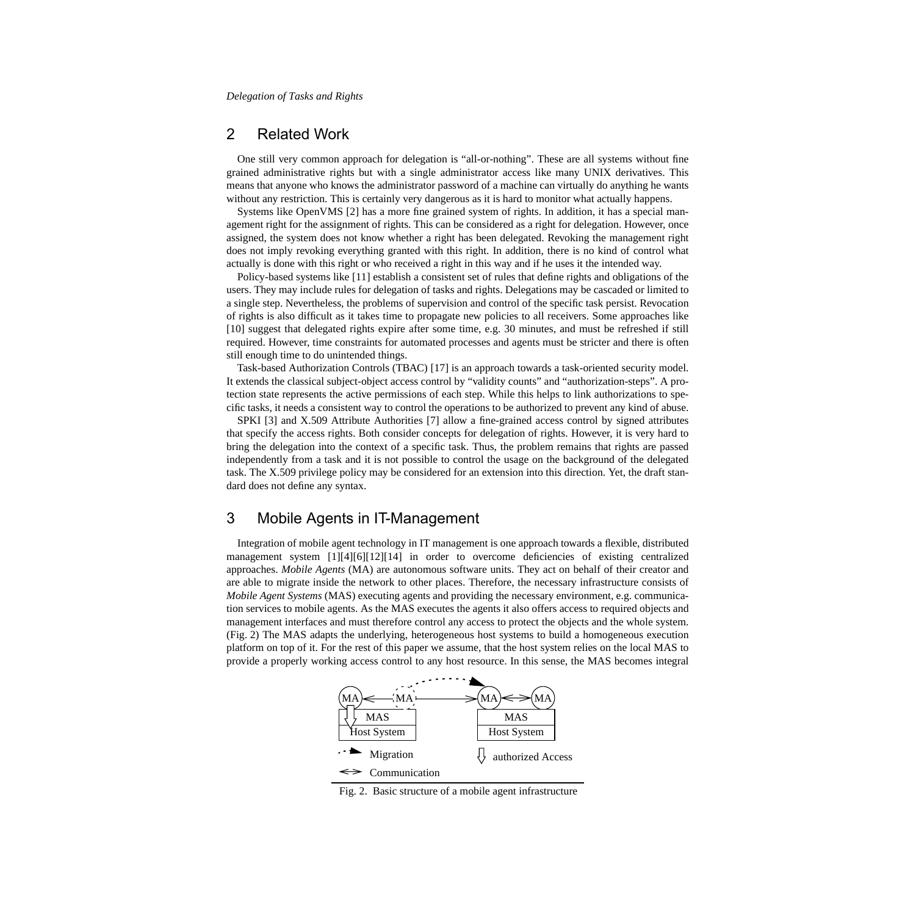## 2 Related Work

One still very common approach for delegation is "all-or-nothing". These are all systems without fine grained administrative rights but with a single administrator access like many UNIX derivatives. This means that anyone who knows the administrator password of a machine can virtually do anything he wants without any restriction. This is certainly very dangerous as it is hard to monitor what actually happens.

Systems like OpenVMS [\[2\]](#page-9-3) has a more fine grained system of rights. In addition, it has a special management right for the assignment of rights. This can be considered as a right for delegation. However, once assigned, the system does not know whether a right has been delegated. Revoking the management right does not imply revoking everything granted with this right. In addition, there is no kind of control what actually is done with this right or who received a right in this way and if he uses it the intended way.

Policy-based systems like [\[11\]](#page-10-1) establish a consistent set of rules that define rights and obligations of the users. They may include rules for delegation of tasks and rights. Delegations may be cascaded or limited to a single step. Nevertheless, the problems of supervision and control of the specific task persist. Revocation of rights is also difficult as it takes time to propagate new policies to all receivers. Some approaches like [10] suggest that delegated rights expire after some time, e.g. 30 minutes, and must be refreshed if still required. However, time constraints for automated processes and agents must be stricter and there is often still enough time to do unintended things.

Task-based Authorization Controls (TBAC) [\[17\]](#page-10-4) is an approach towards a task-oriented security model. It extends the classical subject-object access control by "validity counts" and "authorization-steps". A protection state represents the active permissions of each step. While this helps to link authorizations to specific tasks, it needs a consistent way to control the operations to be authorized to prevent any kind of abuse.

SPKI [\[3\]](#page-9-5) and X.509 Attribute Authorities [\[7\]](#page-9-6) allow a fine-grained access control by signed attributes that specify the access rights. Both consider concepts for delegation of rights. However, it is very hard to bring the delegation into the context of a specific task. Thus, the problem remains that rights are passed independently from a task and it is not possible to control the usage on the background of the delegated task. The X.509 privilege policy may be considered for an extension into this direction. Yet, the draft standard does not define any syntax.

# <span id="page-2-0"></span>3 Mobile Agents in IT-Management

Integration of mobile agent technology in IT management is one approach towards a flexible, distributed management system [\[1\]](#page-9-4)[\[4\]\[](#page-9-2)6[\]\[12\]](#page-10-2)[\[14\]](#page-10-3) in order to overcome deficiencies of existing centralized approaches. *Mobile Agents* (MA) are autonomous software units. They act on behalf of their creator and are able to migrate inside the network to other places. Therefore, the necessary infrastructure consists of *Mobile Agent Systems* (MAS) executing agents and providing the necessary environment, e.g. communication services to mobile agents. As the MAS executes the agents it also offers access to required objects and management interfaces and must therefore control any access to protect the objects and the whole system. ([Fig. 2](#page-2-1)) The MAS adapts the underlying, heterogeneous host systems to build a homogeneous execution platform on top of it. For the rest of this paper we assume, that the host system relies on the local MAS to provide a properly working access control to any host resource. In this sense, the MAS becomes integral



<span id="page-2-1"></span>Fig. 2. Basic structure of a mobile agent infrastructure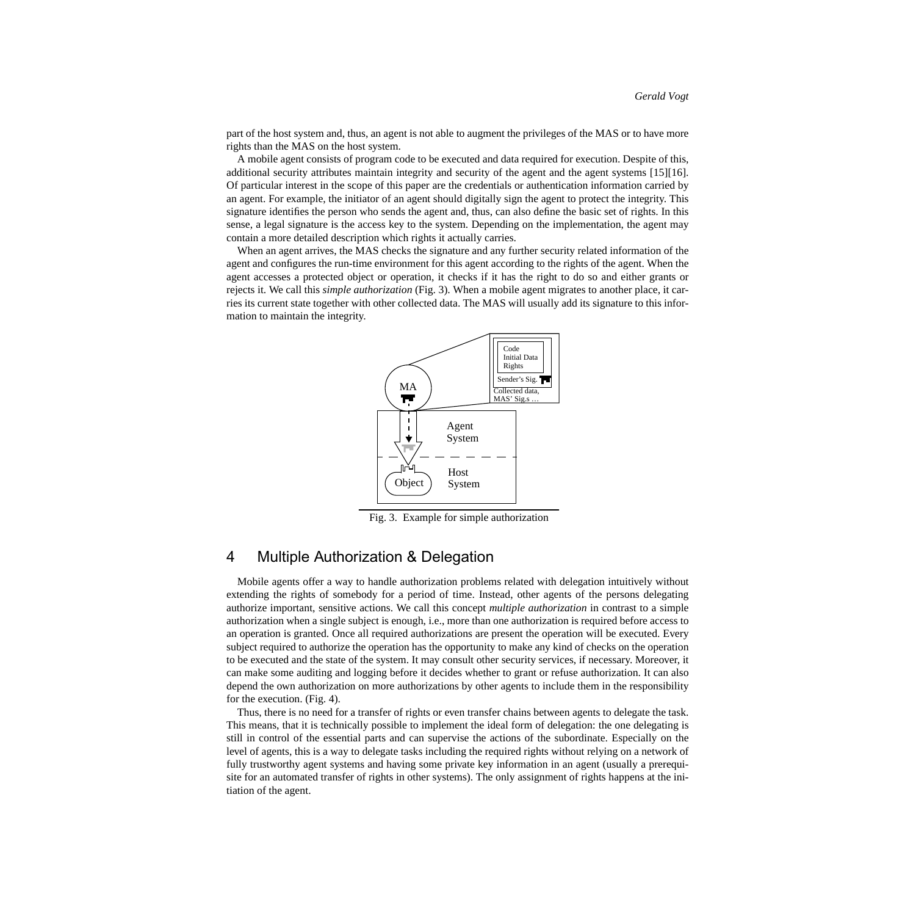part of the host system and, thus, an agent is not able to augment the privileges of the MAS or to have more rights than the MAS on the host system.

A mobile agent consists of program code to be executed and data required for execution. Despite of this, additional security attributes maintain integrity and security of the agent and the agent systems [\[15\]](#page-10-5)[\[16\]](#page-10-6). Of particular interest in the scope of this paper are the credentials or authentication information carried by an agent. For example, the initiator of an agent should digitally sign the agent to protect the integrity. This signature identifies the person who sends the agent and, thus, can also define the basic set of rights. In this sense, a legal signature is the access key to the system. Depending on the implementation, the agent may contain a more detailed description which rights it actually carries.

When an agent arrives, the MAS checks the signature and any further security related information of the agent and configures the run-time environment for this agent according to the rights of the agent. When the agent accesses a protected object or operation, it checks if it has the right to do so and either grants or rejects it. We call this *simple authorization* [\(Fig. 3](#page-3-1)). When a mobile agent migrates to another place, it carries its current state together with other collected data. The MAS will usually add its signature to this information to maintain the integrity.



<span id="page-3-1"></span>Fig. 3. Example for simple authorization

## <span id="page-3-0"></span>4 Multiple Authorization & Delegation

Mobile agents offer a way to handle authorization problems related with delegation intuitively without extending the rights of somebody for a period of time. Instead, other agents of the persons delegating authorize important, sensitive actions. We call this concept *multiple authorization* in contrast to a simple authorization when a single subject is enough, i.e., more than one authorization is required before access to an operation is granted. Once all required authorizations are present the operation will be executed. Every subject required to authorize the operation has the opportunity to make any kind of checks on the operation to be executed and the state of the system. It may consult other security services, if necessary. Moreover, it can make some auditing and logging before it decides whether to grant or refuse authorization. It can also depend the own authorization on more authorizations by other agents to include them in the responsibility for the execution. [\(Fig. 4](#page-4-0)).

Thus, there is no need for a transfer of rights or even transfer chains between agents to delegate the task. This means, that it is technically possible to implement the ideal form of delegation: the one delegating is still in control of the essential parts and can supervise the actions of the subordinate. Especially on the level of agents, this is a way to delegate tasks including the required rights without relying on a network of fully trustworthy agent systems and having some private key information in an agent (usually a prerequisite for an automated transfer of rights in other systems). The only assignment of rights happens at the initiation of the agent.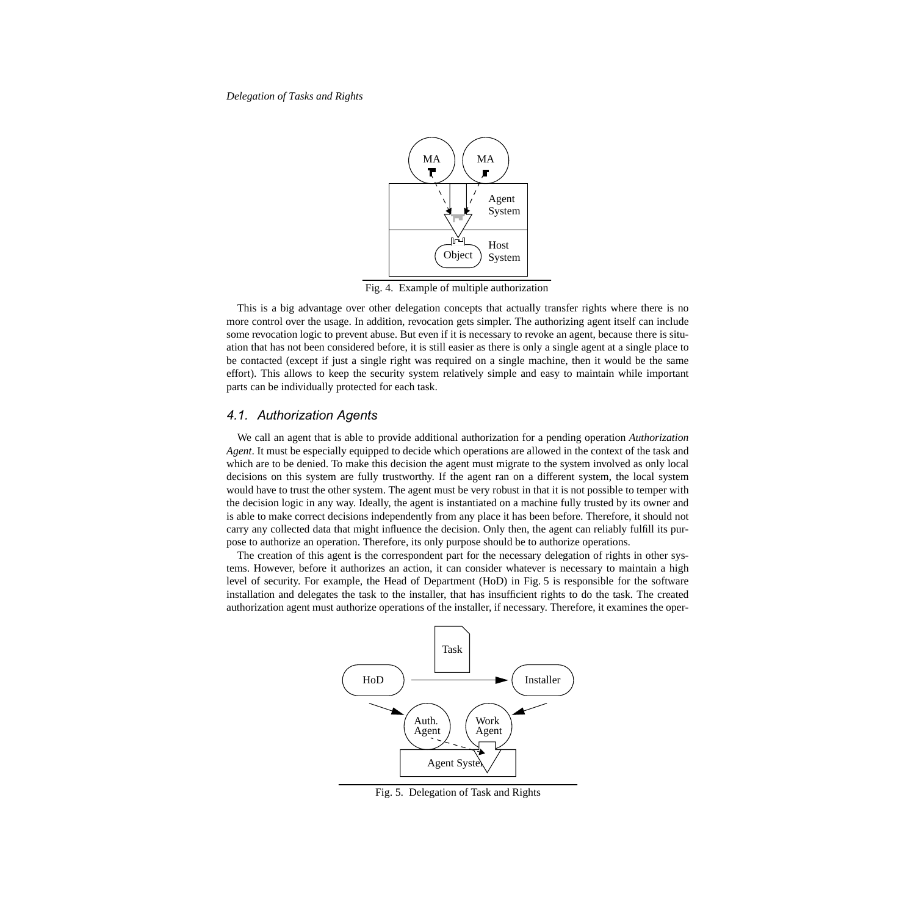

<span id="page-4-0"></span>Fig. 4. Example of multiple authorization

This is a big advantage over other delegation concepts that actually transfer rights where there is no more control over the usage. In addition, revocation gets simpler. The authorizing agent itself can include some revocation logic to prevent abuse. But even if it is necessary to revoke an agent, because there is situation that has not been considered before, it is still easier as there is only a single agent at a single place to be contacted (except if just a single right was required on a single machine, then it would be the same effort). This allows to keep the security system relatively simple and easy to maintain while important parts can be individually protected for each task.

#### *4.1. Authorization Agents*

We call an agent that is able to provide additional authorization for a pending operation *Authorization Agent*. It must be especially equipped to decide which operations are allowed in the context of the task and which are to be denied. To make this decision the agent must migrate to the system involved as only local decisions on this system are fully trustworthy. If the agent ran on a different system, the local system would have to trust the other system. The agent must be very robust in that it is not possible to temper with the decision logic in any way. Ideally, the agent is instantiated on a machine fully trusted by its owner and is able to make correct decisions independently from any place it has been before. Therefore, it should not carry any collected data that might influence the decision. Only then, the agent can reliably fulfill its purpose to authorize an operation. Therefore, its only purpose should be to authorize operations.

The creation of this agent is the correspondent part for the necessary delegation of rights in other systems. However, before it authorizes an action, it can consider whatever is necessary to maintain a high level of security. For example, the Head of Department (HoD) in [Fig. 5](#page-4-1) is responsible for the software installation and delegates the task to the installer, that has insufficient rights to do the task. The created authorization agent must authorize operations of the installer, if necessary. Therefore, it examines the oper-



<span id="page-4-1"></span>Fig. 5. Delegation of Task and Rights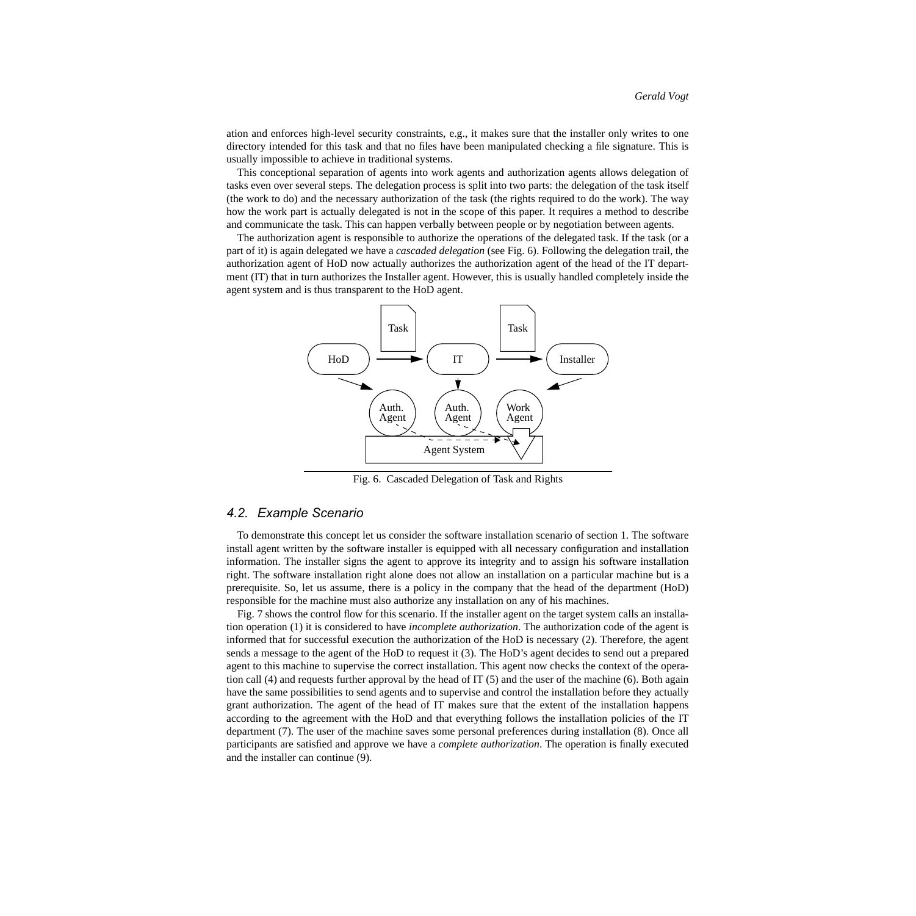ation and enforces high-level security constraints, e.g., it makes sure that the installer only writes to one directory intended for this task and that no files have been manipulated checking a file signature. This is usually impossible to achieve in traditional systems.

This conceptional separation of agents into work agents and authorization agents allows delegation of tasks even over several steps. The delegation process is split into two parts: the delegation of the task itself (the work to do) and the necessary authorization of the task (the rights required to do the work). The way how the work part is actually delegated is not in the scope of this paper. It requires a method to describe and communicate the task. This can happen verbally between people or by negotiation between agents.

The authorization agent is responsible to authorize the operations of the delegated task. If the task (or a part of it) is again delegated we have a *cascaded delegation* (see [Fig. 6](#page-5-0)). Following the delegation trail, the authorization agent of HoD now actually authorizes the authorization agent of the head of the IT department (IT) that in turn authorizes the Installer agent. However, this is usually handled completely inside the agent system and is thus transparent to the HoD agent.



<span id="page-5-0"></span>Fig. 6. Cascaded Delegation of Task and Rights

#### *4.2. Example Scenario*

To demonstrate this concept let us consider the software installation scenario of section 1. The software install agent written by the software installer is equipped with all necessary configuration and installation information. The installer signs the agent to approve its integrity and to assign his software installation right. The software installation right alone does not allow an installation on a particular machine but is a prerequisite. So, let us assume, there is a policy in the company that the head of the department (HoD) responsible for the machine must also authorize any installation on any of his machines.

[Fig. 7](#page-6-1) shows the control flow for this scenario. If the installer agent on the target system calls an installation operation (1) it is considered to have *incomplete authorization*. The authorization code of the agent is informed that for successful execution the authorization of the HoD is necessary (2). Therefore, the agent sends a message to the agent of the HoD to request it (3). The HoD's agent decides to send out a prepared agent to this machine to supervise the correct installation. This agent now checks the context of the operation call (4) and requests further approval by the head of IT (5) and the user of the machine (6). Both again have the same possibilities to send agents and to supervise and control the installation before they actually grant authorization. The agent of the head of IT makes sure that the extent of the installation happens according to the agreement with the HoD and that everything follows the installation policies of the IT department (7). The user of the machine saves some personal preferences during installation (8). Once all participants are satisfied and approve we have a *complete authorization*. The operation is finally executed and the installer can continue (9).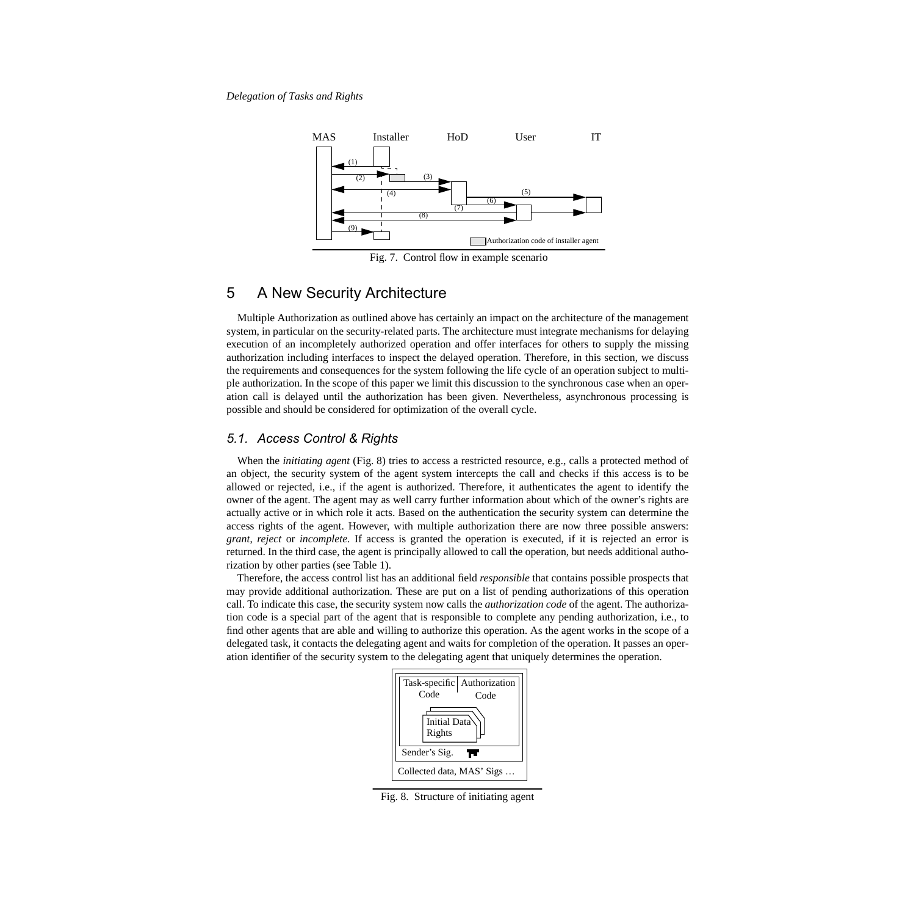

<span id="page-6-1"></span>Fig. 7. Control flow in example scenario

## <span id="page-6-0"></span>5 A New Security Architecture

Multiple Authorization as outlined above has certainly an impact on the architecture of the management system, in particular on the security-related parts. The architecture must integrate mechanisms for delaying execution of an incompletely authorized operation and offer interfaces for others to supply the missing authorization including interfaces to inspect the delayed operation. Therefore, in this section, we discuss the requirements and consequences for the system following the life cycle of an operation subject to multiple authorization. In the scope of this paper we limit this discussion to the synchronous case when an operation call is delayed until the authorization has been given. Nevertheless, asynchronous processing is possible and should be considered for optimization of the overall cycle.

#### *5.1. Access Control & Rights*

When the *initiating agent* [\(Fig. 8](#page-6-2)) tries to access a restricted resource, e.g., calls a protected method of an object, the security system of the agent system intercepts the call and checks if this access is to be allowed or rejected, i.e., if the agent is authorized. Therefore, it authenticates the agent to identify the owner of the agent. The agent may as well carry further information about which of the owner's rights are actually active or in which role it acts. Based on the authentication the security system can determine the access rights of the agent. However, with multiple authorization there are now three possible answers: *grant*, *reject* or *incomplete*. If access is granted the operation is executed, if it is rejected an error is returned. In the third case, the agent is principally allowed to call the operation, but needs additional authorization by other parties (see [Table 1](#page-7-0)).

Therefore, the access control list has an additional field *responsible* that contains possible prospects that may provide additional authorization. These are put on a list of pending authorizations of this operation call. To indicate this case, the security system now calls the *authorization code* of the agent. The authorization code is a special part of the agent that is responsible to complete any pending authorization, i.e., to find other agents that are able and willing to authorize this operation. As the agent works in the scope of a delegated task, it contacts the delegating agent and waits for completion of the operation. It passes an operation identifier of the security system to the delegating agent that uniquely determines the operation.



<span id="page-6-2"></span>Fig. 8. Structure of initiating agent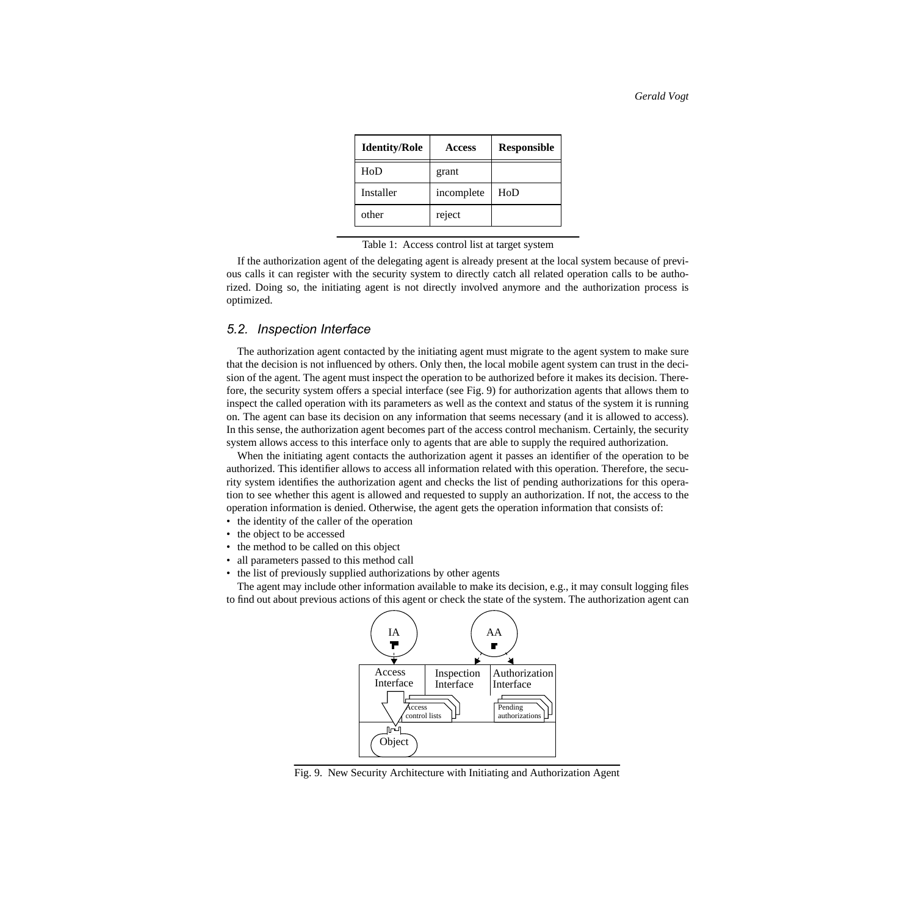| <b>Identity/Role</b> | <b>Access</b> | <b>Responsible</b> |
|----------------------|---------------|--------------------|
| H <sub>0</sub> D     | grant         |                    |
| Installer            | incomplete    | H <sub>0</sub> D   |
| other                | reject        |                    |

<span id="page-7-0"></span>Table 1: Access control list at target system

If the authorization agent of the delegating agent is already present at the local system because of previous calls it can register with the security system to directly catch all related operation calls to be authorized. Doing so, the initiating agent is not directly involved anymore and the authorization process is optimized.

#### *5.2. Inspection Interface*

The authorization agent contacted by the initiating agent must migrate to the agent system to make sure that the decision is not influenced by others. Only then, the local mobile agent system can trust in the decision of the agent. The agent must inspect the operation to be authorized before it makes its decision. Therefore, the security system offers a special interface (see [Fig. 9\)](#page-7-1) for authorization agents that allows them to inspect the called operation with its parameters as well as the context and status of the system it is running on. The agent can base its decision on any information that seems necessary (and it is allowed to access). In this sense, the authorization agent becomes part of the access control mechanism. Certainly, the security system allows access to this interface only to agents that are able to supply the required authorization.

When the initiating agent contacts the authorization agent it passes an identifier of the operation to be authorized. This identifier allows to access all information related with this operation. Therefore, the security system identifies the authorization agent and checks the list of pending authorizations for this operation to see whether this agent is allowed and requested to supply an authorization. If not, the access to the operation information is denied. Otherwise, the agent gets the operation information that consists of:

- the identity of the caller of the operation
- the object to be accessed
- the method to be called on this object
- all parameters passed to this method call
- the list of previously supplied authorizations by other agents

The agent may include other information available to make its decision, e.g., it may consult logging files to find out about previous actions of this agent or check the state of the system. The authorization agent can



<span id="page-7-1"></span>Fig. 9. New Security Architecture with Initiating and Authorization Agent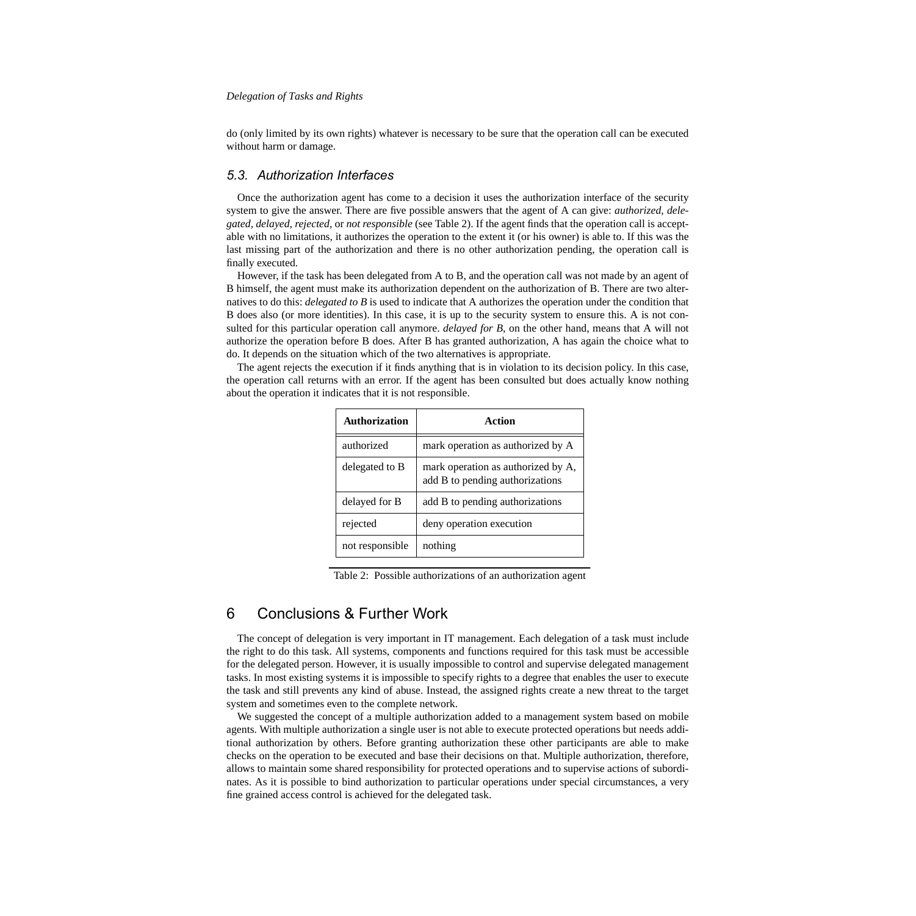do (only limited by its own rights) whatever is necessary to be sure that the operation call can be executed without harm or damage.

#### *5.3. Authorization Interfaces*

Once the authorization agent has come to a decision it uses the authorization interface of the security system to give the answer. There are five possible answers that the agent of A can give: *authorized*, *delegated, delayed, rejected*, or *not responsible* (see [Table 2\)](#page-8-1). If the agent finds that the operation call is acceptable with no limitations, it authorizes the operation to the extent it (or his owner) is able to. If this was the last missing part of the authorization and there is no other authorization pending, the operation call is finally executed.

However, if the task has been delegated from A to B, and the operation call was not made by an agent of B himself, the agent must make its authorization dependent on the authorization of B. There are two alternatives to do this: *delegated to B* is used to indicate that A authorizes the operation under the condition that B does also (or more identities). In this case, it is up to the security system to ensure this. A is not consulted for this particular operation call anymore. *delayed for B*, on the other hand, means that A will not authorize the operation before B does. After B has granted authorization, A has again the choice what to do. It depends on the situation which of the two alternatives is appropriate.

The agent rejects the execution if it finds anything that is in violation to its decision policy. In this case, the operation call returns with an error. If the agent has been consulted but does actually know nothing about the operation it indicates that it is not responsible.

| <b>Authorization</b> | Action                                                                |
|----------------------|-----------------------------------------------------------------------|
| authorized           | mark operation as authorized by A                                     |
| delegated to B       | mark operation as authorized by A,<br>add B to pending authorizations |
| delayed for B        | add B to pending authorizations                                       |
| rejected             | deny operation execution                                              |
| not responsible      | nothing                                                               |

<span id="page-8-1"></span>Table 2: Possible authorizations of an authorization agent

# <span id="page-8-0"></span>6 Conclusions & Further Work

The concept of delegation is very important in IT management. Each delegation of a task must include the right to do this task. All systems, components and functions required for this task must be accessible for the delegated person. However, it is usually impossible to control and supervise delegated management tasks. In most existing systems it is impossible to specify rights to a degree that enables the user to execute the task and still prevents any kind of abuse. Instead, the assigned rights create a new threat to the target system and sometimes even to the complete network.

We suggested the concept of a multiple authorization added to a management system based on mobile agents. With multiple authorization a single user is not able to execute protected operations but needs additional authorization by others. Before granting authorization these other participants are able to make checks on the operation to be executed and base their decisions on that. Multiple authorization, therefore, allows to maintain some shared responsibility for protected operations and to supervise actions of subordinates. As it is possible to bind authorization to particular operations under special circumstances, a very fine grained access control is achieved for the delegated task.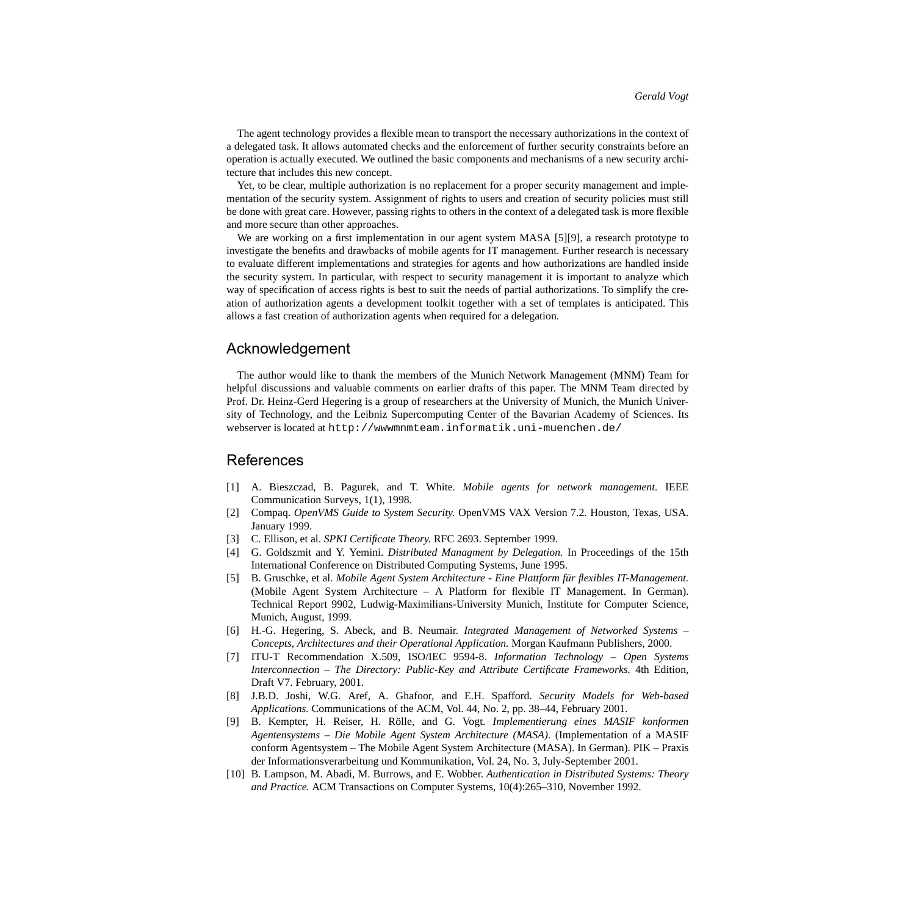The agent technology provides a flexible mean to transport the necessary authorizations in the context of a delegated task. It allows automated checks and the enforcement of further security constraints before an operation is actually executed. We outlined the basic components and mechanisms of a new security architecture that includes this new concept.

Yet, to be clear, multiple authorization is no replacement for a proper security management and implementation of the security system. Assignment of rights to users and creation of security policies must still be done with great care. However, passing rights to others in the context of a delegated task is more flexible and more secure than other approaches.

We are working on a first implementation in our agent system MASA [\[5\]\[](#page-9-1)9], a research prototype to investigate the benefits and drawbacks of mobile agents for IT management. Further research is necessary to evaluate different implementations and strategies for agents and how authorizations are handled inside the security system. In particular, with respect to security management it is important to analyze which way of specification of access rights is best to suit the needs of partial authorizations. To simplify the creation of authorization agents a development toolkit together with a set of templates is anticipated. This allows a fast creation of authorization agents when required for a delegation.

#### Acknowledgement

The author would like to thank the members of the Munich Network Management (MNM) Team for helpful discussions and valuable comments on earlier drafts of this paper. The MNM Team directed by Prof. Dr. Heinz-Gerd Hegering is a group of researchers at the University of Munich, the Munich University of Technology, and the Leibniz Supercomputing Center of the Bavarian Academy of Sciences. Its webserver is located at <http://wwwmnmteam.informatik.uni-muenchen.de/>

## **References**

- <span id="page-9-4"></span>[1] A. Bieszczad, B. Pagurek, and T. White. *Mobile agents for network management.* IEEE Communication Surveys, 1(1), 1998.
- <span id="page-9-3"></span>[2] Compaq. *OpenVMS Guide to System Security.* OpenVMS VAX Version 7.2. Houston, Texas, USA. January 1999.
- <span id="page-9-5"></span>[3] C. Ellison, et al. *SPKI Certificate Theory*. RFC 2693. September 1999.
- <span id="page-9-2"></span>[4] G. Goldszmit and Y. Yemini. *Distributed Managment by Delegation.* In Proceedings of the 15th International Conference on Distributed Computing Systems, June 1995.
- <span id="page-9-1"></span>[5] B. Gruschke, et al. *Mobile Agent System Architecture - Eine Plattform für flexibles IT-Management.* (Mobile Agent System Architecture – A Platform for flexible IT Management. In German). Technical Report 9902, Ludwig-Maximilians-University Munich, Institute for Computer Science, Munich, August, 1999.
- [6] H.-G. Hegering, S. Abeck, and B. Neumair. *Integrated Management of Networked Systems – Concepts, Architectures and their Operational Application.* Morgan Kaufmann Publishers, 2000.
- <span id="page-9-6"></span>[7] ITU-T Recommendation X.509, ISO/IEC 9594-8. *Information Technology – Open Systems Interconnection – The Directory: Public-Key and Attribute Certificate Frameworks.* 4th Edition, Draft V7. February, 2001.
- <span id="page-9-0"></span>[8] J.B.D. Joshi, W.G. Aref, A. Ghafoor, and E.H. Spafford. *Security Models for Web-based Applications.* Communications of the ACM, Vol. 44, No. 2, pp. 38–44, February 2001.
- [9] B. Kempter, H. Reiser, H. Rölle, and G. Vogt. *Implementierung eines MASIF konformen Agentensystems – Die Mobile Agent System Architecture (MASA)*. (Implementation of a MASIF conform Agentsystem – The Mobile Agent System Architecture (MASA). In German). PIK – Praxis der Informationsverarbeitung und Kommunikation, Vol. 24, No. 3, July-September 2001.
- [10] B. Lampson, M. Abadi, M. Burrows, and E. Wobber. *Authentication in Distributed Systems: Theory and Practice.* ACM Transactions on Computer Systems, 10(4):265–310, November 1992.